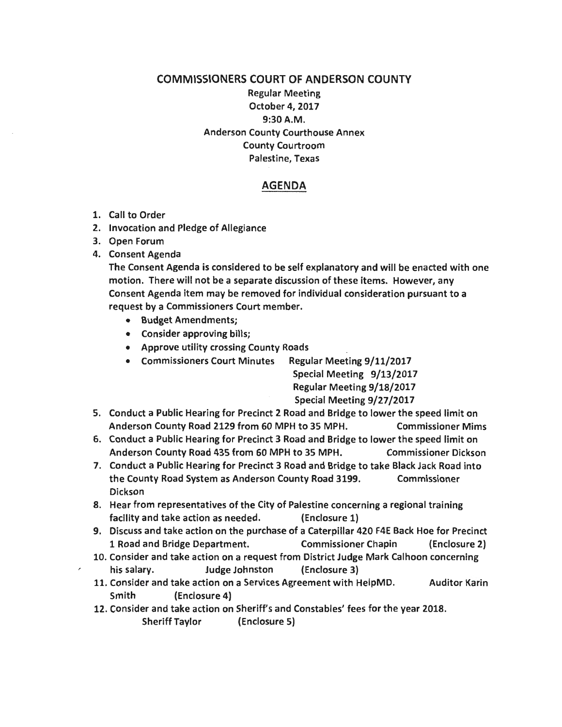## COMMISSIONERS COURT OF ANDERSON COUNTY Regular Meeting October 4, 2017 9:30A.M. Anderson County Courthouse Annex County Courtroom Palestine, Texas

## AGENDA

- 1. Call to Order
- 2. Invocation and Pledge of Allegiance
- 3. Open Forum
- 4. Consent Agenda

The Consent Agenda is considered to be self explanatory and will be enacted with one motion. There will not be a separate discussion of these items. However, any Consent Agenda item may be removed for individual consideration pursuant to a request by a Commissioners Court member.

- Budget Amendments;
- Consider approving bills;
- Approve utility crossing County Roads
- Commissioners Court Minutes Regular Meeting 9/11/2017

Special Meeting 9/13/2017 Regular Meeting 9/18/2017 Special Meeting 9/27/2017

- 5. Conduct a Public Hearing for Precinct 2 Road and Bridge to lower the speed limit on Anderson County Road 2129 from 60 MPH to 35 MPH. Commissioner Mims
- 6. Conduct a Public Hearing for Precinct 3 Road and Bridge to lower the speed limit on Anderson County Road 435 from 60 MPH to 35 MPH. Commissioner Dickson
- 7. Conduct a Public Hearing for Precinct 3 Road and Bridge to take Black Jack Road into the County Road System as Anderson County Road 3199. Commissioner Dickson
- 8. Hear from representatives of the City of Palestine concerning a regional training facility and take action as needed. (Enclosure 1)
- 9. Discuss and take action on the purchase of a Caterpillar 420 F4E Back Hoe for Precinct 1 Road and Bridge Department. Commissioner Chapin (Enclosure 2)
- 10. Consider and take action on a request from District Judge Mark Calhoon concerning
- his salary. Judge Johnston (Enclosure 3)
- 11. Consider and take action on a Services Agreement with HelpMD. Auditor Karin Smith (Enclosure 4)
- 12. Consider and take action on Sheriffs and Constables' fees for the year 2018. Sheriff Taylor (Enclosure 5)